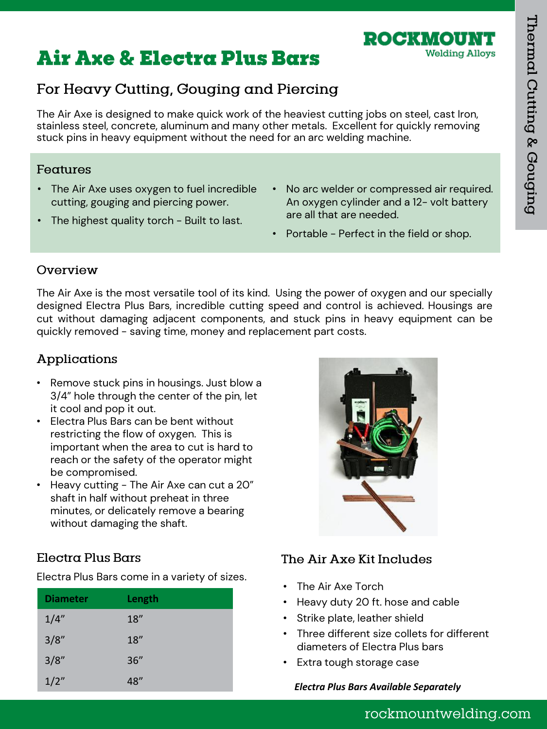# **Air Axe & Electra Plus Bars**

## For Heavy Cutting, Gouging and Piercing

The Air Axe is designed to make quick work of the heaviest cutting jobs on steel, cast Iron, stainless steel, concrete, aluminum and many other metals. Excellent for quickly removing stuck pins in heavy equipment without the need for an arc welding machine.

#### Features

- The Air Axe uses oxygen to fuel incredible cutting, gouging and piercing power.
- The highest quality torch Built to last.
- No arc welder or compressed air required. An oxygen cylinder and a 12- volt battery are all that are needed.

ROCKWOU

**Welding Alloys** 

• Portable - Perfect in the field or shop.

#### Overview

The Air Axe is the most versatile tool of its kind. Using the power of oxygen and our specially designed Electra Plus Bars, incredible cutting speed and control is achieved. Housings are cut without damaging adjacent components, and stuck pins in heavy equipment can be quickly removed - saving time, money and replacement part costs.

### Applications

- Remove stuck pins in housings. Just blow a 3/4" hole through the center of the pin, let it cool and pop it out.
- Electra Plus Bars can be bent without restricting the flow of oxygen. This is important when the area to cut is hard to reach or the safety of the operator might be compromised.
- Heavy cutting The Air Axe can cut a 20" shaft in half without preheat in three minutes, or delicately remove a bearing without damaging the shaft.

### Electra Plus Bars

Electra Plus Bars come in a variety of sizes.

| <b>Diameter</b> | Length |
|-----------------|--------|
| 1/4"            | 18"    |
| 3/8''           | 18"    |
| 3/8"            | 36"    |
| 1/2"            | 48"    |



#### The Air Axe Kit Includes

- The Air Axe Torch
- Heavy duty 20 ft. hose and cable
- Strike plate, leather shield
- Three different size collets for different diameters of Electra Plus bars
- Extra tough storage case

#### **Electra Plus Bars Available Separately**